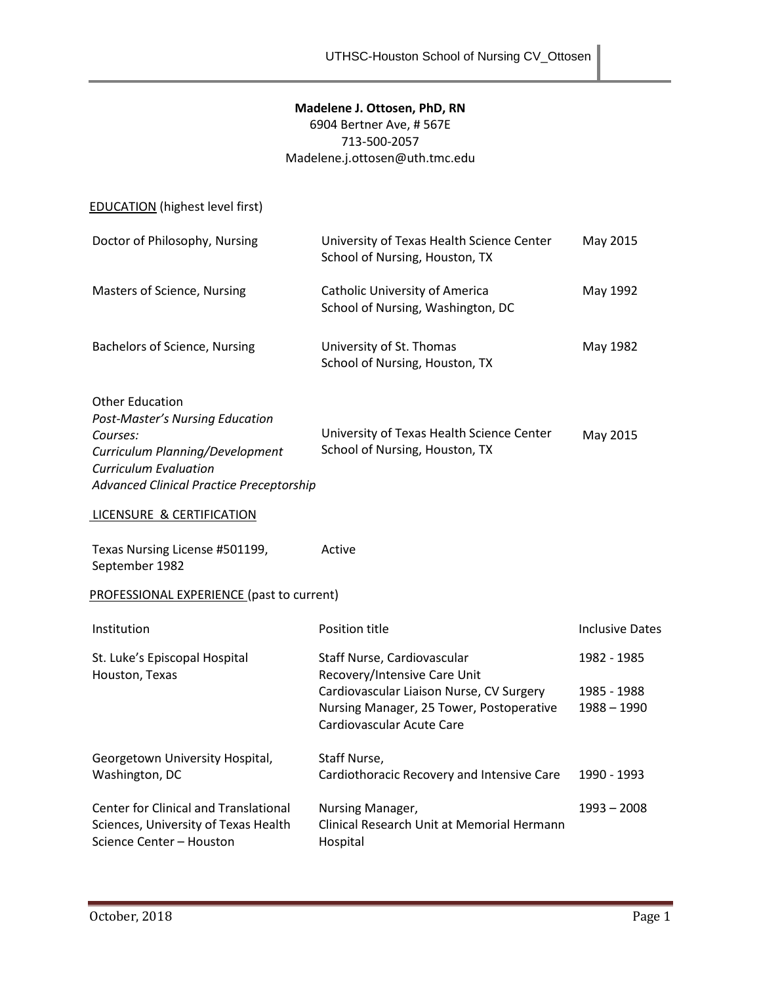# **Madelene J. Ottosen, PhD, RN**

6904 Bertner Ave, # 567E 713-500-2057 Madelene.j.ottosen@uth.tmc.edu

EDUCATION (highest level first)

| Doctor of Philosophy, Nursing                                                                                                                                                                      | University of Texas Health Science Center<br>School of Nursing, Houston, TX                                                                                                      | May 2015                                    |  |  |
|----------------------------------------------------------------------------------------------------------------------------------------------------------------------------------------------------|----------------------------------------------------------------------------------------------------------------------------------------------------------------------------------|---------------------------------------------|--|--|
| Masters of Science, Nursing                                                                                                                                                                        | Catholic University of America<br>School of Nursing, Washington, DC                                                                                                              | May 1992                                    |  |  |
| <b>Bachelors of Science, Nursing</b>                                                                                                                                                               | University of St. Thomas<br>School of Nursing, Houston, TX                                                                                                                       | May 1982                                    |  |  |
| <b>Other Education</b><br><b>Post-Master's Nursing Education</b><br>Courses:<br>Curriculum Planning/Development<br><b>Curriculum Evaluation</b><br><b>Advanced Clinical Practice Preceptorship</b> | University of Texas Health Science Center<br>School of Nursing, Houston, TX                                                                                                      | May 2015                                    |  |  |
| LICENSURE & CERTIFICATION                                                                                                                                                                          |                                                                                                                                                                                  |                                             |  |  |
| Texas Nursing License #501199,<br>September 1982                                                                                                                                                   | Active                                                                                                                                                                           |                                             |  |  |
| PROFESSIONAL EXPERIENCE (past to current)                                                                                                                                                          |                                                                                                                                                                                  |                                             |  |  |
| Institution                                                                                                                                                                                        | Position title                                                                                                                                                                   | <b>Inclusive Dates</b>                      |  |  |
| St. Luke's Episcopal Hospital<br>Houston, Texas                                                                                                                                                    | Staff Nurse, Cardiovascular<br>Recovery/Intensive Care Unit<br>Cardiovascular Liaison Nurse, CV Surgery<br>Nursing Manager, 25 Tower, Postoperative<br>Cardiovascular Acute Care | 1982 - 1985<br>1985 - 1988<br>$1988 - 1990$ |  |  |
| Georgetown University Hospital,<br>Washington, DC                                                                                                                                                  | Staff Nurse,<br>Cardiothoracic Recovery and Intensive Care                                                                                                                       | 1990 - 1993                                 |  |  |
| <b>Center for Clinical and Translational</b>                                                                                                                                                       | Nursing Manager,                                                                                                                                                                 | $1993 - 2008$                               |  |  |

Hospital

Clinical Research Unit at Memorial Hermann

Sciences, University of Texas Health

Science Center – Houston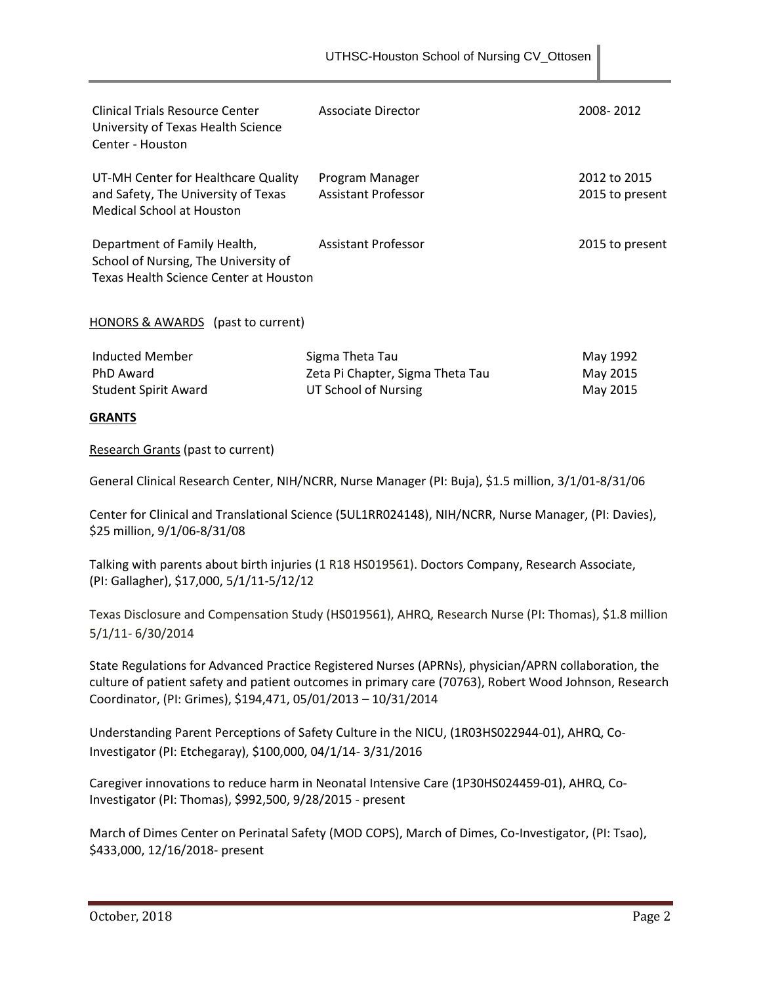| Clinical Trials Resource Center<br>University of Texas Health Science<br>Center - Houston                      | Associate Director                            | 2008-2012                       |
|----------------------------------------------------------------------------------------------------------------|-----------------------------------------------|---------------------------------|
| UT-MH Center for Healthcare Quality<br>and Safety, The University of Texas<br>Medical School at Houston        | Program Manager<br><b>Assistant Professor</b> | 2012 to 2015<br>2015 to present |
| Department of Family Health,<br>School of Nursing, The University of<br>Texas Health Science Center at Houston | <b>Assistant Professor</b>                    | 2015 to present                 |

HONORS & AWARDS (past to current)

| Inducted Member      | Sigma Theta Tau                  | May 1992 |
|----------------------|----------------------------------|----------|
| PhD Award            | Zeta Pi Chapter, Sigma Theta Tau | May 2015 |
| Student Spirit Award | UT School of Nursing             | May 2015 |

# **GRANTS**

Research Grants (past to current)

General Clinical Research Center, NIH/NCRR, Nurse Manager (PI: Buja), \$1.5 million, 3/1/01-8/31/06

Center for Clinical and Translational Science (5UL1RR024148), NIH/NCRR, Nurse Manager, (PI: Davies), \$25 million, 9/1/06-8/31/08

Talking with parents about birth injuries (1 R18 HS019561). Doctors Company, Research Associate, (PI: Gallagher), \$17,000, 5/1/11-5/12/12

Texas Disclosure and Compensation Study (HS019561), AHRQ, Research Nurse (PI: Thomas), \$1.8 million 5/1/11- 6/30/2014

State Regulations for Advanced Practice Registered Nurses (APRNs), physician/APRN collaboration, the culture of patient safety and patient outcomes in primary care (70763), Robert Wood Johnson, Research Coordinator, (PI: Grimes), \$194,471, 05/01/2013 – 10/31/2014

Understanding Parent Perceptions of Safety Culture in the NICU, (1R03HS022944-01), AHRQ, Co-Investigator (PI: Etchegaray), \$100,000, 04/1/14- 3/31/2016

Caregiver innovations to reduce harm in Neonatal Intensive Care (1P30HS024459-01), AHRQ, Co-Investigator (PI: Thomas), \$992,500, 9/28/2015 - present

March of Dimes Center on Perinatal Safety (MOD COPS), March of Dimes, Co-Investigator, (PI: Tsao), \$433,000, 12/16/2018- present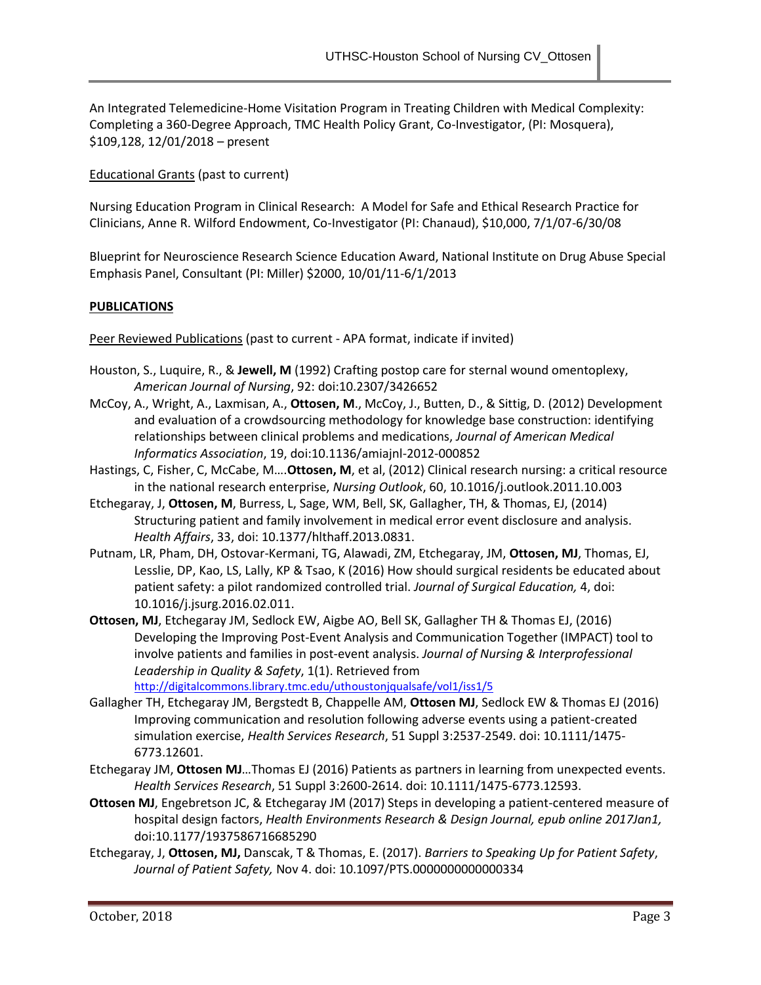An Integrated Telemedicine-Home Visitation Program in Treating Children with Medical Complexity: Completing a 360-Degree Approach, TMC Health Policy Grant, Co-Investigator, (PI: Mosquera), \$109,128, 12/01/2018 – present

Educational Grants (past to current)

Nursing Education Program in Clinical Research: A Model for Safe and Ethical Research Practice for Clinicians, Anne R. Wilford Endowment, Co-Investigator (PI: Chanaud), \$10,000, 7/1/07-6/30/08

Blueprint for Neuroscience Research Science Education Award, National Institute on Drug Abuse Special Emphasis Panel, Consultant (PI: Miller) \$2000, 10/01/11-6/1/2013

## **PUBLICATIONS**

Peer Reviewed Publications (past to current - APA format, indicate if invited)

- Houston, S., Luquire, R., & **Jewell, M** (1992) Crafting postop care for sternal wound omentoplexy, *American Journal of Nursing*, 92: doi:10.2307/3426652
- McCoy, A., Wright, A., Laxmisan, A., **Ottosen, M**., McCoy, J., Butten, D., & Sittig, D. (2012) Development and evaluation of a crowdsourcing methodology for knowledge base construction: identifying relationships between clinical problems and medications, *Journal of American Medical Informatics Association*, 19, doi:10.1136/amiajnl-2012-000852
- Hastings, C, Fisher, C, McCabe, M….**Ottosen, M**, et al, (2012) Clinical research nursing: a critical resource in the national research enterprise, *Nursing Outlook*, 60, 10.1016/j.outlook.2011.10.003
- Etchegaray, J, **Ottosen, M**, Burress, L, Sage, WM, Bell, SK, Gallagher, TH, & Thomas, EJ, (2014) Structuring patient and family involvement in medical error event disclosure and analysis. *Health Affairs*, 33, doi: 10.1377/hlthaff.2013.0831.
- Putnam, LR, Pham, DH, Ostovar-Kermani, TG, Alawadi, ZM, Etchegaray, JM, **Ottosen, MJ**, Thomas, EJ, Lesslie, DP, Kao, LS, Lally, KP & Tsao, K (2016) How should surgical residents be educated about patient safety: a pilot randomized controlled trial. *Journal of Surgical Education,* 4, doi: 10.1016/j.jsurg.2016.02.011.
- **Ottosen, MJ**, Etchegaray JM, Sedlock EW, Aigbe AO, Bell SK, Gallagher TH & Thomas EJ, (2016) Developing the Improving Post-Event Analysis and Communication Together (IMPACT) tool to involve patients and families in post-event analysis. *Journal of Nursing & Interprofessional Leadership in Quality & Safety*, 1(1). Retrieved from <http://digitalcommons.library.tmc.edu/uthoustonjqualsafe/vol1/iss1/5>
- Gallagher TH, Etchegaray JM, Bergstedt B, Chappelle AM, **Ottosen MJ**, Sedlock EW & Thomas EJ (2016) Improving communication and resolution following adverse events using a patient-created simulation exercise, *Health Services Research*, 51 Suppl 3:2537-2549. doi: 10.1111/1475- 6773.12601.
- Etchegaray JM, **Ottosen MJ**…Thomas EJ (2016) Patients as partners in learning from unexpected events. *Health Services Research*, 51 Suppl 3:2600-2614. doi: 10.1111/1475-6773.12593.
- **Ottosen MJ**, Engebretson JC, & Etchegaray JM (2017) Steps in developing a patient-centered measure of hospital design factors, *Health Environments Research & Design Journal, epub online 2017Jan1,*  doi:10.1177/1937586716685290
- Etchegaray, J, **Ottosen, MJ,** Danscak, T & Thomas, E. (2017). *Barriers to Speaking Up for Patient Safety*, *Journal of Patient Safety,* Nov 4. doi: 10.1097/PTS.0000000000000334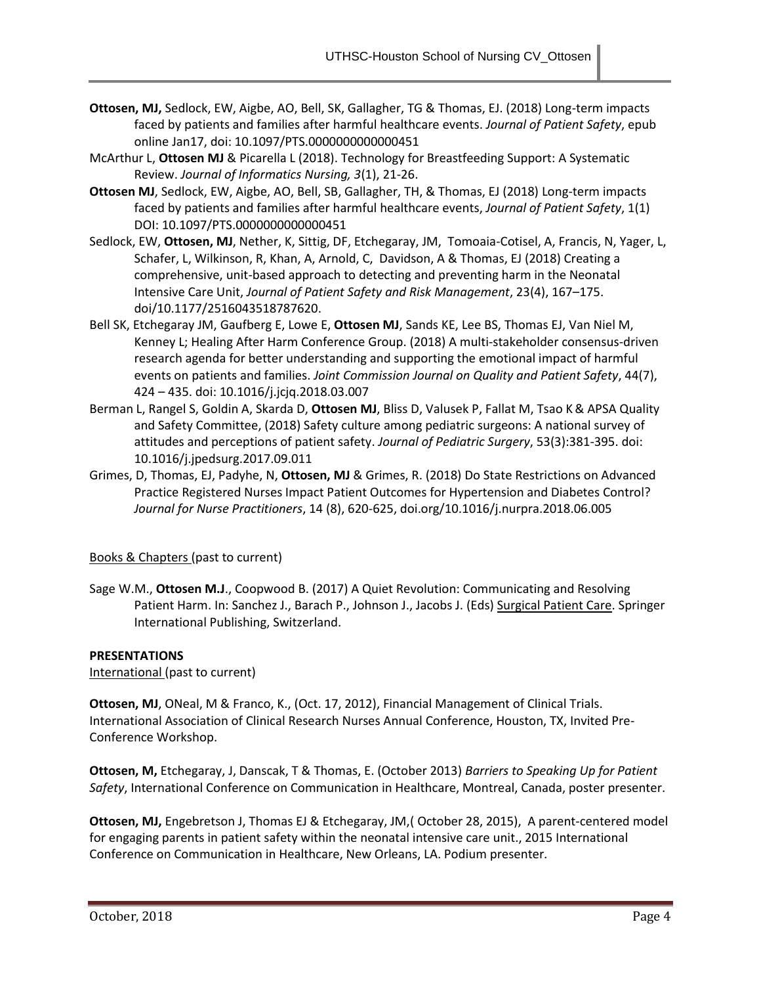- **Ottosen, MJ,** Sedlock, EW, Aigbe, AO, Bell, SK, Gallagher, TG & Thomas, EJ. (2018) Long-term impacts faced by patients and families after harmful healthcare events. *Journal of Patient Safety*, epub online Jan17, doi: 10.1097/PTS.0000000000000451
- McArthur L, **Ottosen MJ** & Picarella L (2018). Technology for Breastfeeding Support: A Systematic Review. *Journal of Informatics Nursing, 3*(1), 21-26.
- **Ottosen MJ**, Sedlock, EW, Aigbe, AO, Bell, SB, Gallagher, TH, & Thomas, EJ (2018) Long-term impacts faced by patients and families after harmful healthcare events, *Journal of Patient Safety*, 1(1) DOI: 10.1097/PTS.0000000000000451
- Sedlock, EW, **Ottosen, MJ**, Nether, K, Sittig, DF, Etchegaray, JM, Tomoaia-Cotisel, A, Francis, N, Yager, L, Schafer, L, Wilkinson, R, Khan, A, Arnold, C, Davidson, A & Thomas, EJ (2018) Creating a comprehensive, unit-based approach to detecting and preventing harm in the Neonatal Intensive Care Unit, *Journal of Patient Safety and Risk Management*, 23(4), 167–175. doi/10.1177/2516043518787620.
- [Bell SK,](https://www.ncbi.nlm.nih.gov/pubmed/?term=Bell%20SK%5BAuthor%5D&cauthor=true&cauthor_uid=30008355) [Etchegaray JM,](https://www.ncbi.nlm.nih.gov/pubmed/?term=Etchegaray%20JM%5BAuthor%5D&cauthor=true&cauthor_uid=30008355) [Gaufberg E,](https://www.ncbi.nlm.nih.gov/pubmed/?term=Gaufberg%20E%5BAuthor%5D&cauthor=true&cauthor_uid=30008355) [Lowe E,](https://www.ncbi.nlm.nih.gov/pubmed/?term=Lowe%20E%5BAuthor%5D&cauthor=true&cauthor_uid=30008355) **[Ottosen MJ](https://www.ncbi.nlm.nih.gov/pubmed/?term=Ottosen%20MJ%5BAuthor%5D&cauthor=true&cauthor_uid=30008355)**[, Sands KE,](https://www.ncbi.nlm.nih.gov/pubmed/?term=Sands%20KE%5BAuthor%5D&cauthor=true&cauthor_uid=30008355) [Lee BS,](https://www.ncbi.nlm.nih.gov/pubmed/?term=Lee%20BS%5BAuthor%5D&cauthor=true&cauthor_uid=30008355) [Thomas EJ,](https://www.ncbi.nlm.nih.gov/pubmed/?term=Thomas%20EJ%5BAuthor%5D&cauthor=true&cauthor_uid=30008355) [Van Niel M,](https://www.ncbi.nlm.nih.gov/pubmed/?term=Van%20Niel%20M%5BAuthor%5D&cauthor=true&cauthor_uid=30008355) [Kenney L;](https://www.ncbi.nlm.nih.gov/pubmed/?term=Kenney%20L%5BAuthor%5D&cauthor=true&cauthor_uid=30008355) [Healing After Harm Conference Group.](https://www.ncbi.nlm.nih.gov/pubmed/?term=Healing%20After%20Harm%20Conference%20Group%5BCorporate%20Author%5D) (2018) A multi-stakeholder consensus-driven research agenda for better understanding and supporting the emotional impact of harmful events on patients and families. *Joint Commission Journal on Quality and Patient Safety*, 44(7), 424 – 435. doi: 10.1016/j.jcjq.2018.03.007
- [Berman L,](https://www.ncbi.nlm.nih.gov/pubmed/?term=Berman%20L%5BAuthor%5D&cauthor=true&cauthor_uid=29111082) [Rangel S,](https://www.ncbi.nlm.nih.gov/pubmed/?term=Rangel%20S%5BAuthor%5D&cauthor=true&cauthor_uid=29111082) [Goldin A,](https://www.ncbi.nlm.nih.gov/pubmed/?term=Goldin%20A%5BAuthor%5D&cauthor=true&cauthor_uid=29111082) [Skarda D,](https://www.ncbi.nlm.nih.gov/pubmed/?term=Skarda%20D%5BAuthor%5D&cauthor=true&cauthor_uid=29111082) **[Ottosen MJ](https://www.ncbi.nlm.nih.gov/pubmed/?term=Ottosen%20M%5BAuthor%5D&cauthor=true&cauthor_uid=29111082)**[, Bliss D,](https://www.ncbi.nlm.nih.gov/pubmed/?term=Bliss%20D%5BAuthor%5D&cauthor=true&cauthor_uid=29111082) [Valusek P,](https://www.ncbi.nlm.nih.gov/pubmed/?term=Valusek%20P%5BAuthor%5D&cauthor=true&cauthor_uid=29111082) [Fallat M,](https://www.ncbi.nlm.nih.gov/pubmed/?term=Fallat%20M%5BAuthor%5D&cauthor=true&cauthor_uid=29111082) [Tsao K&](https://www.ncbi.nlm.nih.gov/pubmed/?term=Tsao%20K%5BAuthor%5D&cauthor=true&cauthor_uid=29111082) [APSA Quality](https://www.ncbi.nlm.nih.gov/pubmed/?term=APSA%20Quality%20and%20Safety%20Committee%5BCorporate%20Author%5D)  [and Safety Committee,](https://www.ncbi.nlm.nih.gov/pubmed/?term=APSA%20Quality%20and%20Safety%20Committee%5BCorporate%20Author%5D) (2018) Safety culture among pediatric surgeons: A national survey of attitudes and perceptions of patient safety. *[Journal of Pediatric Surgery](https://www.ncbi.nlm.nih.gov/pubmed/29111082)*, 53(3):381-395. doi: 10.1016/j.jpedsurg.2017.09.011
- Grimes, D, Thomas, EJ, Padyhe, N, **Ottosen, MJ** & Grimes, R. (2018) Do State Restrictions on Advanced Practice Registered Nurses Impact Patient Outcomes for Hypertension and Diabetes Control? *Journal for Nurse Practitioners*, 14 (8), 620-625, [doi.org/10.1016/j.nurpra.2018.06.005](https://doi.org/10.1016/j.nurpra.2018.06.005)

## Books & Chapters (past to current)

Sage W.M., **Ottosen M.J**., Coopwood B. (2017) A Quiet Revolution: Communicating and Resolving Patient Harm. In: Sanchez J., Barach P., Johnson J., Jacobs J. (Eds) Surgical Patient Care. Springer International Publishing, Switzerland.

## **PRESENTATIONS**

International (past to current)

**Ottosen, MJ**, ONeal, M & Franco, K., (Oct. 17, 2012), Financial Management of Clinical Trials. International Association of Clinical Research Nurses Annual Conference, Houston, TX, Invited Pre-Conference Workshop.

**Ottosen, M,** Etchegaray, J, Danscak, T & Thomas, E. (October 2013) *Barriers to Speaking Up for Patient Safety*, International Conference on Communication in Healthcare, Montreal, Canada, poster presenter.

**Ottosen, MJ,** Engebretson J, Thomas EJ & Etchegaray, JM,( October 28, 2015), A parent-centered model for engaging parents in patient safety within the neonatal intensive care unit., 2015 International Conference on Communication in Healthcare, New Orleans, LA. Podium presenter.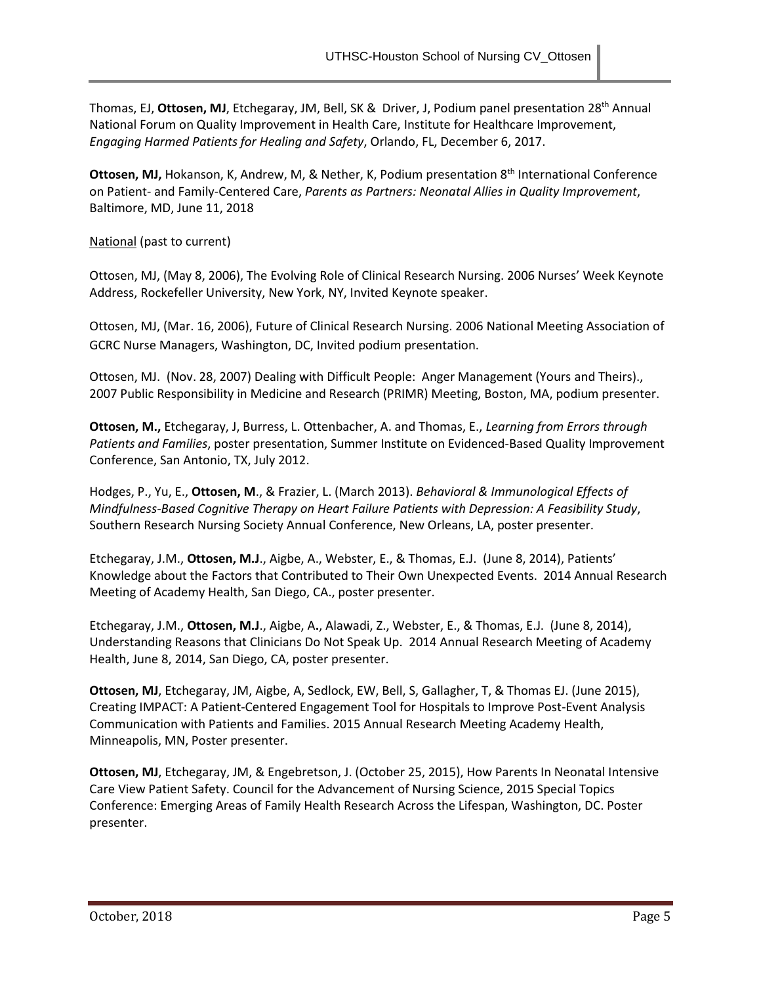Thomas, EJ, **Ottosen, MJ**, Etchegaray, JM, Bell, SK & Driver, J, Podium panel presentation 28th Annual National Forum on Quality Improvement in Health Care, Institute for Healthcare Improvement, *Engaging Harmed Patients for Healing and Safety*, Orlando, FL, December 6, 2017.

Ottosen, MJ, Hokanson, K, Andrew, M, & Nether, K, Podium presentation 8<sup>th</sup> International Conference on Patient- and Family-Centered Care, *Parents as Partners: Neonatal Allies in Quality Improvement*, Baltimore, MD, June 11, 2018

National (past to current)

Ottosen, MJ, (May 8, 2006), The Evolving Role of Clinical Research Nursing. 2006 Nurses' Week Keynote Address, Rockefeller University, New York, NY, Invited Keynote speaker.

Ottosen, MJ, (Mar. 16, 2006), Future of Clinical Research Nursing. 2006 National Meeting Association of GCRC Nurse Managers, Washington, DC, Invited podium presentation.

Ottosen, MJ. (Nov. 28, 2007) Dealing with Difficult People: Anger Management (Yours and Theirs)., 2007 Public Responsibility in Medicine and Research (PRIMR) Meeting, Boston, MA, podium presenter.

**Ottosen, M.,** Etchegaray, J, Burress, L. Ottenbacher, A. and Thomas, E., *Learning from Errors through Patients and Families*, poster presentation, Summer Institute on Evidenced-Based Quality Improvement Conference, San Antonio, TX, July 2012.

Hodges, P., Yu, E., **Ottosen, M**., & Frazier, L. (March 2013). *Behavioral & Immunological Effects of Mindfulness-Based Cognitive Therapy on Heart Failure Patients with Depression: A Feasibility Study*, Southern Research Nursing Society Annual Conference, New Orleans, LA, poster presenter.

Etchegaray, J.M., **Ottosen, M.J**., Aigbe, A., Webster, E., & Thomas, E.J. (June 8, 2014), Patients' Knowledge about the Factors that Contributed to Their Own Unexpected Events. 2014 Annual Research Meeting of Academy Health, San Diego, CA., poster presenter.

Etchegaray, J.M., **Ottosen, M.J**., Aigbe, A**.**, Alawadi, Z., Webster, E., & Thomas, E.J. (June 8, 2014), Understanding Reasons that Clinicians Do Not Speak Up. 2014 Annual Research Meeting of Academy Health, June 8, 2014, San Diego, CA, poster presenter.

**Ottosen, MJ**, Etchegaray, JM, Aigbe, A, Sedlock, EW, Bell, S, Gallagher, T, & Thomas EJ. (June 2015), Creating IMPACT: A Patient-Centered Engagement Tool for Hospitals to Improve Post-Event Analysis Communication with Patients and Families. 2015 Annual Research Meeting Academy Health, Minneapolis, MN, Poster presenter.

**Ottosen, MJ**, Etchegaray, JM, & Engebretson, J. (October 25, 2015), How Parents In Neonatal Intensive Care View Patient Safety. Council for the Advancement of Nursing Science, 2015 Special Topics Conference: Emerging Areas of Family Health Research Across the Lifespan, Washington, DC. Poster presenter.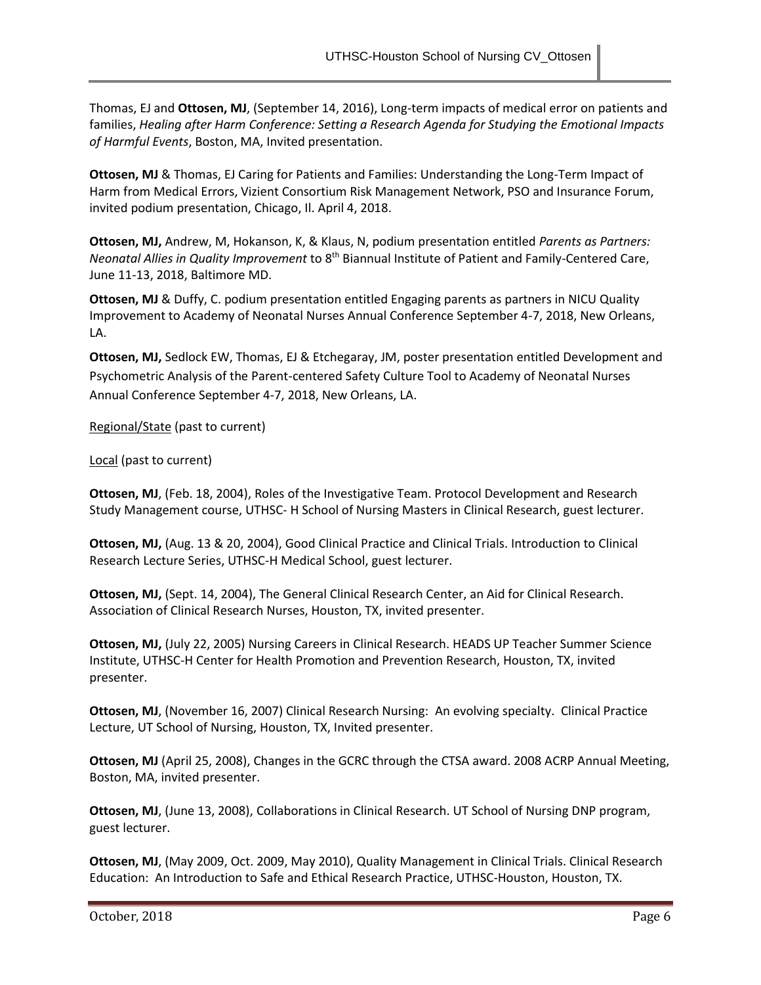Thomas, EJ and **Ottosen, MJ**, (September 14, 2016), Long-term impacts of medical error on patients and families, *Healing after Harm Conference: Setting a Research Agenda for Studying the Emotional Impacts of Harmful Events*, Boston, MA, Invited presentation.

**Ottosen, MJ** & Thomas, EJ Caring for Patients and Families: Understanding the Long-Term Impact of Harm from Medical Errors, Vizient Consortium Risk Management Network, PSO and Insurance Forum, invited podium presentation, Chicago, Il. April 4, 2018.

**Ottosen, MJ,** Andrew, M, Hokanson, K, & Klaus, N, podium presentation entitled *Parents as Partners: Neonatal Allies in Quality Improvement* to 8th Biannual Institute of Patient and Family-Centered Care, June 11-13, 2018, Baltimore MD.

**Ottosen, MJ** & Duffy, C. podium presentation entitled Engaging parents as partners in NICU Quality Improvement to Academy of Neonatal Nurses Annual Conference September 4-7, 2018, New Orleans, LA.

**Ottosen, MJ,** Sedlock EW, Thomas, EJ & Etchegaray, JM, poster presentation entitled Development and Psychometric Analysis of the Parent-centered Safety Culture Tool to Academy of Neonatal Nurses Annual Conference September 4-7, 2018, New Orleans, LA.

Regional/State (past to current)

## Local (past to current)

**Ottosen, MJ**, (Feb. 18, 2004), Roles of the Investigative Team. Protocol Development and Research Study Management course, UTHSC- H School of Nursing Masters in Clinical Research, guest lecturer.

**Ottosen, MJ,** (Aug. 13 & 20, 2004), Good Clinical Practice and Clinical Trials. Introduction to Clinical Research Lecture Series, UTHSC-H Medical School, guest lecturer.

**Ottosen, MJ,** (Sept. 14, 2004), The General Clinical Research Center, an Aid for Clinical Research. Association of Clinical Research Nurses, Houston, TX, invited presenter.

**Ottosen, MJ,** (July 22, 2005) Nursing Careers in Clinical Research. HEADS UP Teacher Summer Science Institute, UTHSC-H Center for Health Promotion and Prevention Research, Houston, TX, invited presenter.

**Ottosen, MJ**, (November 16, 2007) Clinical Research Nursing: An evolving specialty. Clinical Practice Lecture, UT School of Nursing, Houston, TX, Invited presenter.

**Ottosen, MJ** (April 25, 2008), Changes in the GCRC through the CTSA award. 2008 ACRP Annual Meeting, Boston, MA, invited presenter.

**Ottosen, MJ**, (June 13, 2008), Collaborations in Clinical Research. UT School of Nursing DNP program, guest lecturer.

**Ottosen, MJ**, (May 2009, Oct. 2009, May 2010), Quality Management in Clinical Trials. Clinical Research Education: An Introduction to Safe and Ethical Research Practice, UTHSC-Houston, Houston, TX.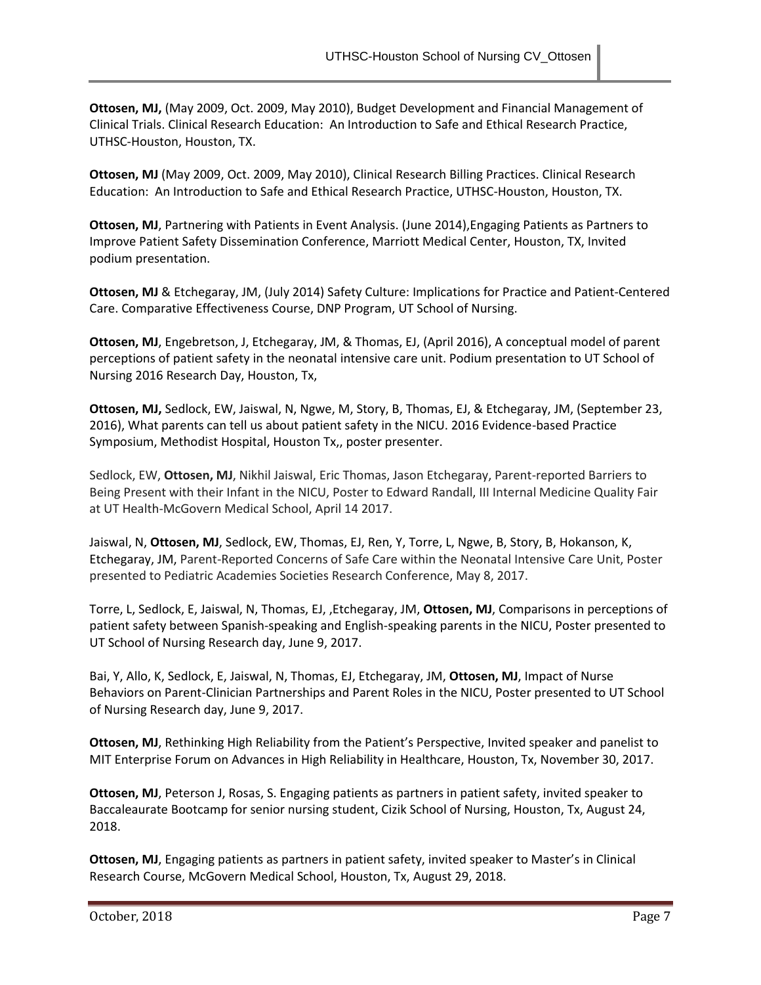**Ottosen, MJ,** (May 2009, Oct. 2009, May 2010), Budget Development and Financial Management of Clinical Trials. Clinical Research Education: An Introduction to Safe and Ethical Research Practice, UTHSC-Houston, Houston, TX.

**Ottosen, MJ** (May 2009, Oct. 2009, May 2010), Clinical Research Billing Practices. Clinical Research Education: An Introduction to Safe and Ethical Research Practice, UTHSC-Houston, Houston, TX.

**Ottosen, MJ**, Partnering with Patients in Event Analysis. (June 2014),Engaging Patients as Partners to Improve Patient Safety Dissemination Conference, Marriott Medical Center, Houston, TX, Invited podium presentation.

**Ottosen, MJ** & Etchegaray, JM, (July 2014) Safety Culture: Implications for Practice and Patient-Centered Care. Comparative Effectiveness Course, DNP Program, UT School of Nursing.

**Ottosen, MJ**, Engebretson, J, Etchegaray, JM, & Thomas, EJ, (April 2016), A conceptual model of parent perceptions of patient safety in the neonatal intensive care unit. Podium presentation to UT School of Nursing 2016 Research Day, Houston, Tx,

**Ottosen, MJ,** Sedlock, EW, Jaiswal, N, Ngwe, M, Story, B, Thomas, EJ, & Etchegaray, JM, (September 23, 2016), What parents can tell us about patient safety in the NICU. 2016 Evidence-based Practice Symposium, Methodist Hospital, Houston Tx,, poster presenter.

Sedlock, EW, **Ottosen, MJ**, Nikhil Jaiswal, Eric Thomas, Jason Etchegaray, Parent-reported Barriers to Being Present with their Infant in the NICU, Poster to Edward Randall, III Internal Medicine Quality Fair at UT Health-McGovern Medical School, April 14 2017.

Jaiswal, N, **Ottosen, MJ**, Sedlock, EW, Thomas, EJ, Ren, Y, Torre, L, Ngwe, B, Story, B, Hokanson, K, Etchegaray, JM, Parent-Reported Concerns of Safe Care within the Neonatal Intensive Care Unit, Poster presented to Pediatric Academies Societies Research Conference, May 8, 2017.

Torre, L, Sedlock, E, Jaiswal, N, Thomas, EJ, ,Etchegaray, JM, **Ottosen, MJ**, Comparisons in perceptions of patient safety between Spanish-speaking and English-speaking parents in the NICU, Poster presented to UT School of Nursing Research day, June 9, 2017.

Bai, Y, Allo, K, Sedlock, E, Jaiswal, N, Thomas, EJ, Etchegaray, JM, **Ottosen, MJ**, Impact of Nurse Behaviors on Parent-Clinician Partnerships and Parent Roles in the NICU, Poster presented to UT School of Nursing Research day, June 9, 2017.

**Ottosen, MJ**, Rethinking High Reliability from the Patient's Perspective, Invited speaker and panelist to MIT Enterprise Forum on Advances in High Reliability in Healthcare, Houston, Tx, November 30, 2017.

**Ottosen, MJ**, Peterson J, Rosas, S. Engaging patients as partners in patient safety, invited speaker to Baccaleaurate Bootcamp for senior nursing student, Cizik School of Nursing, Houston, Tx, August 24, 2018.

**Ottosen, MJ**, Engaging patients as partners in patient safety, invited speaker to Master's in Clinical Research Course, McGovern Medical School, Houston, Tx, August 29, 2018.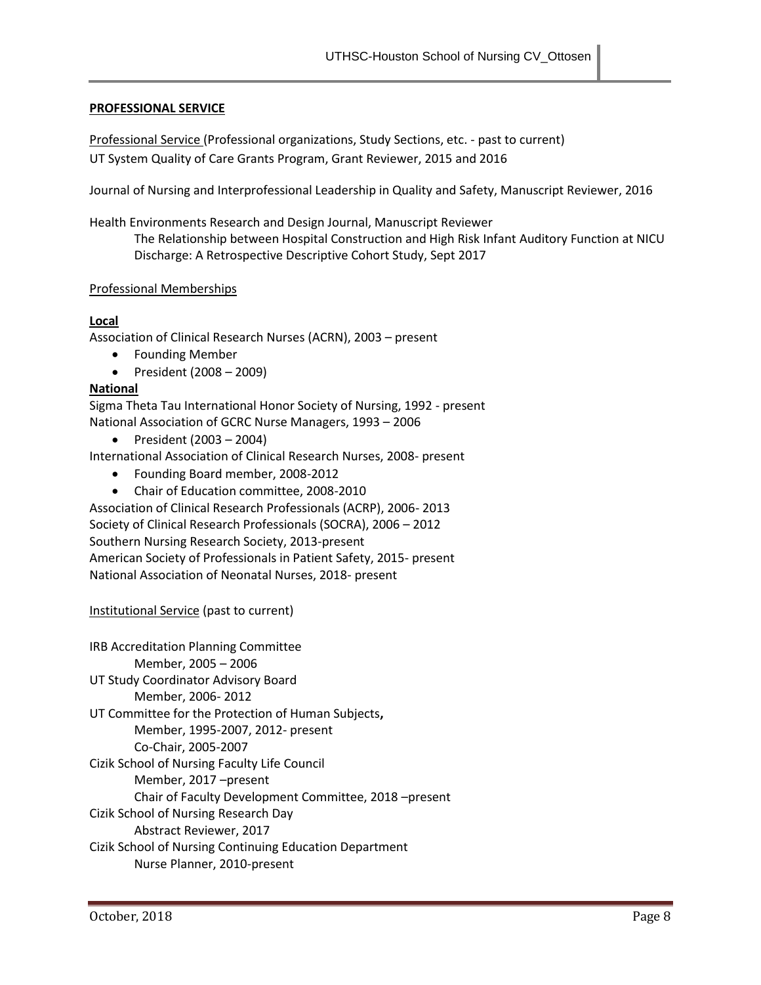### **PROFESSIONAL SERVICE**

Professional Service (Professional organizations, Study Sections, etc. - past to current) UT System Quality of Care Grants Program, Grant Reviewer, 2015 and 2016

Journal of Nursing and Interprofessional Leadership in Quality and Safety, Manuscript Reviewer, 2016

Health Environments Research and Design Journal, Manuscript Reviewer The Relationship between Hospital Construction and High Risk Infant Auditory Function at NICU Discharge: A Retrospective Descriptive Cohort Study, Sept 2017

#### Professional Memberships

### **Local**

Association of Clinical Research Nurses (ACRN), 2003 – present

- Founding Member
- $\bullet$  President (2008 2009)

### **National**

Sigma Theta Tau International Honor Society of Nursing, 1992 - present National Association of GCRC Nurse Managers, 1993 – 2006

• President (2003 – 2004)

International Association of Clinical Research Nurses, 2008- present

- Founding Board member, 2008-2012
- Chair of Education committee, 2008-2010

Association of Clinical Research Professionals (ACRP), 2006- 2013 Society of Clinical Research Professionals (SOCRA), 2006 – 2012 Southern Nursing Research Society, 2013-present American Society of Professionals in Patient Safety, 2015- present National Association of Neonatal Nurses, 2018- present

## Institutional Service (past to current)

IRB Accreditation Planning Committee Member, 2005 – 2006 UT Study Coordinator Advisory Board Member, 2006- 2012 UT Committee for the Protection of Human Subjects**,**  Member, 1995-2007, 2012- present Co-Chair, 2005-2007 Cizik School of Nursing Faculty Life Council Member, 2017 –present Chair of Faculty Development Committee, 2018 –present Cizik School of Nursing Research Day Abstract Reviewer, 2017 Cizik School of Nursing Continuing Education Department Nurse Planner, 2010-present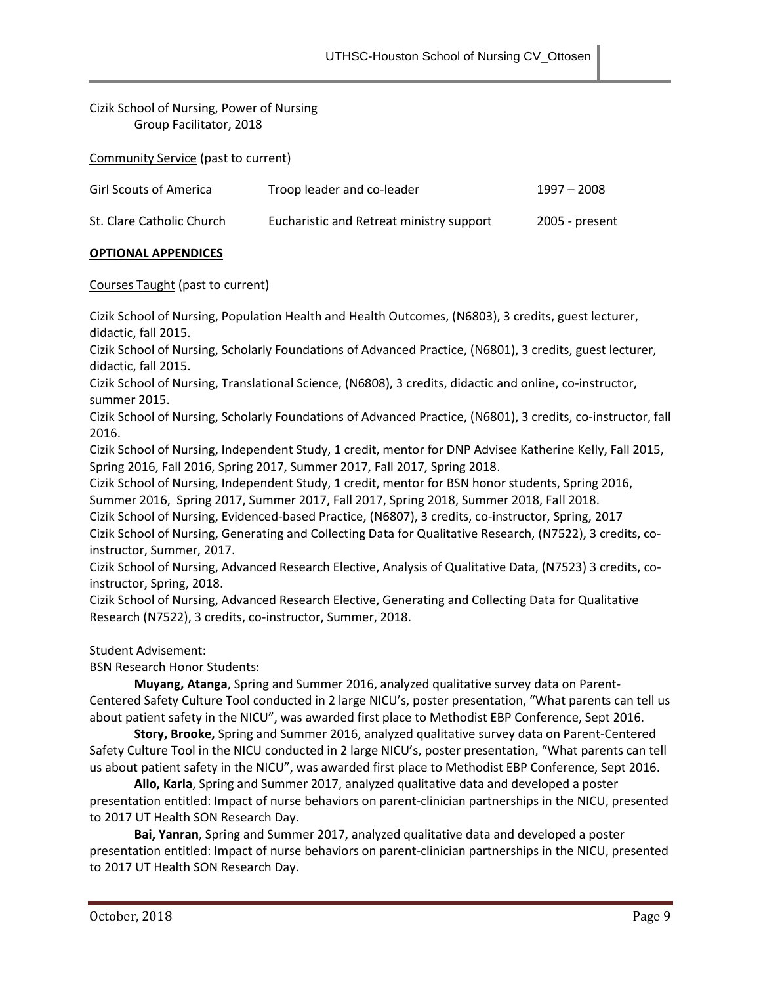Cizik School of Nursing, Power of Nursing Group Facilitator, 2018

Community Service (past to current)

| <b>Girl Scouts of America</b> | Troop leader and co-leader               | $1997 - 2008$  |
|-------------------------------|------------------------------------------|----------------|
| St. Clare Catholic Church     | Eucharistic and Retreat ministry support | 2005 - present |

# **OPTIONAL APPENDICES**

Courses Taught (past to current)

Cizik School of Nursing, Population Health and Health Outcomes, (N6803), 3 credits, guest lecturer, didactic, fall 2015.

Cizik School of Nursing, Scholarly Foundations of Advanced Practice, (N6801), 3 credits, guest lecturer, didactic, fall 2015.

Cizik School of Nursing, Translational Science, (N6808), 3 credits, didactic and online, co-instructor, summer 2015.

Cizik School of Nursing, Scholarly Foundations of Advanced Practice, (N6801), 3 credits, co-instructor, fall 2016.

Cizik School of Nursing, Independent Study, 1 credit, mentor for DNP Advisee Katherine Kelly, Fall 2015, Spring 2016, Fall 2016, Spring 2017, Summer 2017, Fall 2017, Spring 2018.

Cizik School of Nursing, Independent Study, 1 credit, mentor for BSN honor students, Spring 2016, Summer 2016, Spring 2017, Summer 2017, Fall 2017, Spring 2018, Summer 2018, Fall 2018.

Cizik School of Nursing, Evidenced-based Practice, (N6807), 3 credits, co-instructor, Spring, 2017 Cizik School of Nursing, Generating and Collecting Data for Qualitative Research, (N7522), 3 credits, coinstructor, Summer, 2017.

Cizik School of Nursing, Advanced Research Elective, Analysis of Qualitative Data, (N7523) 3 credits, coinstructor, Spring, 2018.

Cizik School of Nursing, Advanced Research Elective, Generating and Collecting Data for Qualitative Research (N7522), 3 credits, co-instructor, Summer, 2018.

Student Advisement:

BSN Research Honor Students:

**Muyang, Atanga**, Spring and Summer 2016, analyzed qualitative survey data on Parent-Centered Safety Culture Tool conducted in 2 large NICU's, poster presentation, "What parents can tell us about patient safety in the NICU", was awarded first place to Methodist EBP Conference, Sept 2016.

**Story, Brooke,** Spring and Summer 2016, analyzed qualitative survey data on Parent-Centered Safety Culture Tool in the NICU conducted in 2 large NICU's, poster presentation, "What parents can tell us about patient safety in the NICU", was awarded first place to Methodist EBP Conference, Sept 2016.

**Allo, Karla**, Spring and Summer 2017, analyzed qualitative data and developed a poster presentation entitled: Impact of nurse behaviors on parent-clinician partnerships in the NICU, presented to 2017 UT Health SON Research Day.

**Bai, Yanran**, Spring and Summer 2017, analyzed qualitative data and developed a poster presentation entitled: Impact of nurse behaviors on parent-clinician partnerships in the NICU, presented to 2017 UT Health SON Research Day.